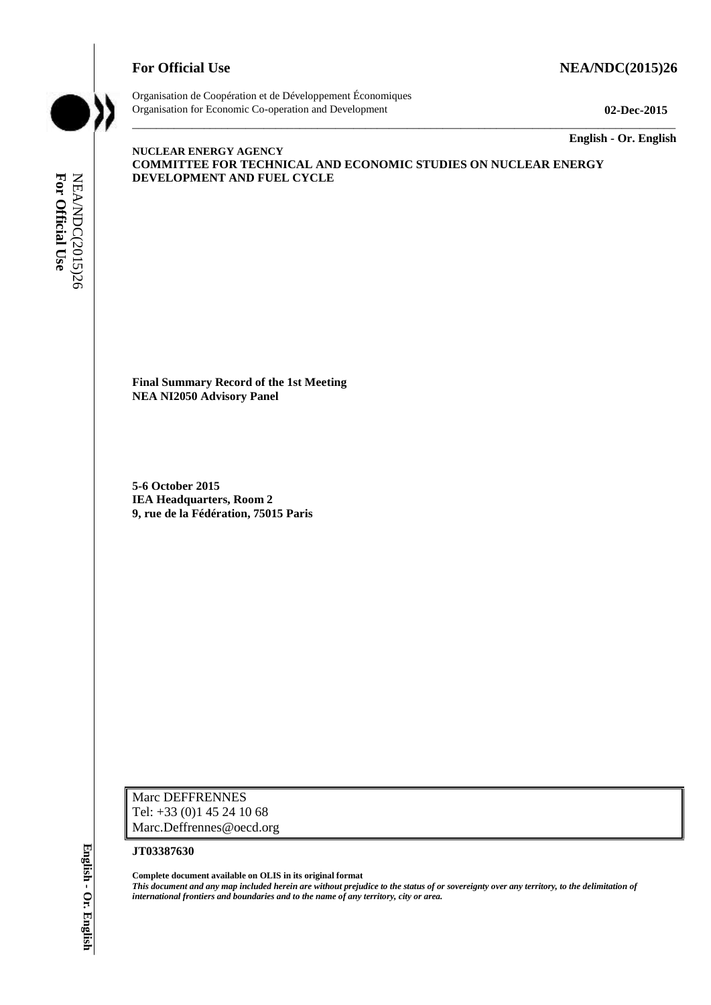

Organisation de Coopération et de Développement Économiques Organisation for Economic Co-operation and Development **02-Dec-2015**

\_\_\_\_\_\_\_\_\_\_\_\_\_ **English - Or. English**

#### **NUCLEAR ENERGY AGENCY COMMITTEE FOR TECHNICAL AND ECONOMIC STUDIES ON NUCLEAR ENERGY DEVELOPMENT AND FUEL CYCLE**

\_\_\_\_\_\_\_\_\_\_\_\_\_\_\_\_\_\_\_\_\_\_\_\_\_\_\_\_\_\_\_\_\_\_\_\_\_\_\_\_\_\_\_\_\_\_\_\_\_\_\_\_\_\_\_\_\_\_\_\_\_\_\_\_\_\_\_\_\_\_\_\_\_\_\_\_\_\_\_\_\_\_\_\_\_\_\_\_\_\_\_

**Final Summary Record of the 1st Meeting NEA NI2050 Advisory Panel**

**5-6 October 2015 IEA Headquarters, Room 2 9, rue de la Fédération, 75015 Paris**

Marc DEFFRENNES Tel: +33 (0)1 45 24 10 68 Marc.Deffrennes@oecd.org

#### **JT03387630**

**Complete document available on OLIS in its original format** *This document and any map included herein are without prejudice to the status of or sovereignty over any territory, to the delimitation of*  **international formulations and boundaries and boundaries and to the name of any territory, city or area.**<br> **For Official User Official User Any territory, city or area.**<br> **For Official User Official User Any territory, co**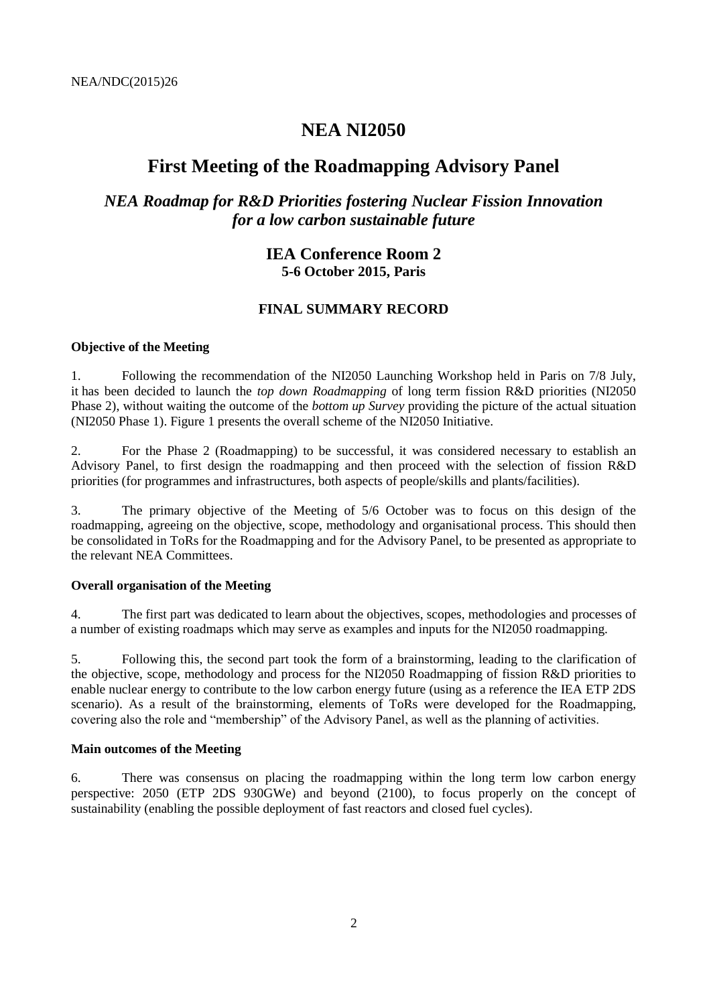# **NEA NI2050**

# **First Meeting of the Roadmapping Advisory Panel**

# *NEA Roadmap for R&D Priorities fostering Nuclear Fission Innovation for a low carbon sustainable future*

# **IEA Conference Room 2 5-6 October 2015, Paris**

## **FINAL SUMMARY RECORD**

### **Objective of the Meeting**

1. Following the recommendation of the NI2050 Launching Workshop held in Paris on 7/8 July, it has been decided to launch the *top down Roadmapping* of long term fission R&D priorities (NI2050 Phase 2), without waiting the outcome of the *bottom up Survey* providing the picture of the actual situation (NI2050 Phase 1). Figure 1 presents the overall scheme of the NI2050 Initiative.

2. For the Phase 2 (Roadmapping) to be successful, it was considered necessary to establish an Advisory Panel, to first design the roadmapping and then proceed with the selection of fission R&D priorities (for programmes and infrastructures, both aspects of people/skills and plants/facilities).

3. The primary objective of the Meeting of 5/6 October was to focus on this design of the roadmapping, agreeing on the objective, scope, methodology and organisational process. This should then be consolidated in ToRs for the Roadmapping and for the Advisory Panel, to be presented as appropriate to the relevant NEA Committees.

#### **Overall organisation of the Meeting**

4. The first part was dedicated to learn about the objectives, scopes, methodologies and processes of a number of existing roadmaps which may serve as examples and inputs for the NI2050 roadmapping.

5. Following this, the second part took the form of a brainstorming, leading to the clarification of the objective, scope, methodology and process for the NI2050 Roadmapping of fission R&D priorities to enable nuclear energy to contribute to the low carbon energy future (using as a reference the IEA ETP 2DS scenario). As a result of the brainstorming, elements of ToRs were developed for the Roadmapping, covering also the role and "membership" of the Advisory Panel, as well as the planning of activities.

### **Main outcomes of the Meeting**

6. There was consensus on placing the roadmapping within the long term low carbon energy perspective: 2050 (ETP 2DS 930GWe) and beyond (2100), to focus properly on the concept of sustainability (enabling the possible deployment of fast reactors and closed fuel cycles).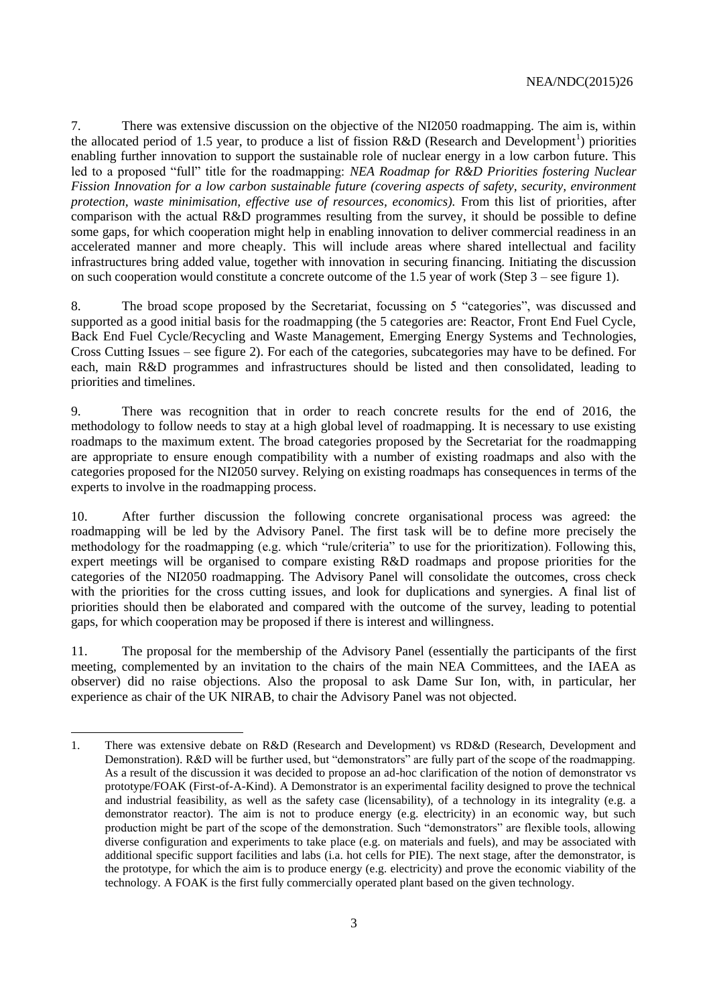7. There was extensive discussion on the objective of the NI2050 roadmapping. The aim is, within the allocated period of 1.5 year, to produce a list of fission R&D (Research and Development<sup>1</sup>) priorities enabling further innovation to support the sustainable role of nuclear energy in a low carbon future. This led to a proposed "full" title for the roadmapping: *NEA Roadmap for R&D Priorities fostering Nuclear Fission Innovation for a low carbon sustainable future (covering aspects of safety, security, environment protection, waste minimisation, effective use of resources, economics).* From this list of priorities, after comparison with the actual R&D programmes resulting from the survey, it should be possible to define some gaps, for which cooperation might help in enabling innovation to deliver commercial readiness in an accelerated manner and more cheaply. This will include areas where shared intellectual and facility infrastructures bring added value, together with innovation in securing financing. Initiating the discussion on such cooperation would constitute a concrete outcome of the 1.5 year of work (Step 3 – see figure 1).

8. The broad scope proposed by the Secretariat, focussing on 5 "categories", was discussed and supported as a good initial basis for the roadmapping (the 5 categories are: Reactor, Front End Fuel Cycle, Back End Fuel Cycle/Recycling and Waste Management, Emerging Energy Systems and Technologies, Cross Cutting Issues – see figure 2). For each of the categories, subcategories may have to be defined. For each, main R&D programmes and infrastructures should be listed and then consolidated, leading to priorities and timelines.

9. There was recognition that in order to reach concrete results for the end of 2016, the methodology to follow needs to stay at a high global level of roadmapping. It is necessary to use existing roadmaps to the maximum extent. The broad categories proposed by the Secretariat for the roadmapping are appropriate to ensure enough compatibility with a number of existing roadmaps and also with the categories proposed for the NI2050 survey. Relying on existing roadmaps has consequences in terms of the experts to involve in the roadmapping process.

10. After further discussion the following concrete organisational process was agreed: the roadmapping will be led by the Advisory Panel. The first task will be to define more precisely the methodology for the roadmapping (e.g. which "rule/criteria" to use for the prioritization). Following this, expert meetings will be organised to compare existing R&D roadmaps and propose priorities for the categories of the NI2050 roadmapping. The Advisory Panel will consolidate the outcomes, cross check with the priorities for the cross cutting issues, and look for duplications and synergies. A final list of priorities should then be elaborated and compared with the outcome of the survey, leading to potential gaps, for which cooperation may be proposed if there is interest and willingness.

11. The proposal for the membership of the Advisory Panel (essentially the participants of the first meeting, complemented by an invitation to the chairs of the main NEA Committees, and the IAEA as observer) did no raise objections. Also the proposal to ask Dame Sur Ion, with, in particular, her experience as chair of the UK NIRAB, to chair the Advisory Panel was not objected.

<sup>1.</sup> There was extensive debate on R&D (Research and Development) vs RD&D (Research, Development and Demonstration). R&D will be further used, but "demonstrators" are fully part of the scope of the roadmapping. As a result of the discussion it was decided to propose an ad-hoc clarification of the notion of demonstrator vs prototype/FOAK (First-of-A-Kind). A Demonstrator is an experimental facility designed to prove the technical and industrial feasibility, as well as the safety case (licensability), of a technology in its integrality (e.g. a demonstrator reactor). The aim is not to produce energy (e.g. electricity) in an economic way, but such production might be part of the scope of the demonstration. Such "demonstrators" are flexible tools, allowing diverse configuration and experiments to take place (e.g. on materials and fuels), and may be associated with additional specific support facilities and labs (i.a. hot cells for PIE). The next stage, after the demonstrator, is the prototype, for which the aim is to produce energy (e.g. electricity) and prove the economic viability of the technology. A FOAK is the first fully commercially operated plant based on the given technology.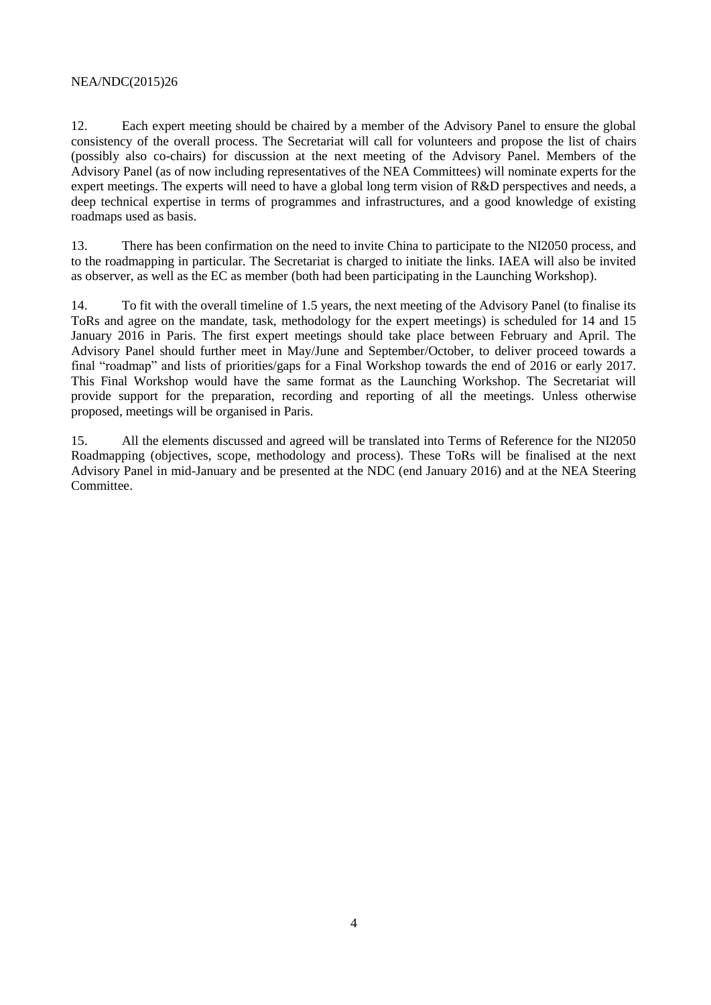#### NEA/NDC(2015)26

12. Each expert meeting should be chaired by a member of the Advisory Panel to ensure the global consistency of the overall process. The Secretariat will call for volunteers and propose the list of chairs (possibly also co-chairs) for discussion at the next meeting of the Advisory Panel. Members of the Advisory Panel (as of now including representatives of the NEA Committees) will nominate experts for the expert meetings. The experts will need to have a global long term vision of R&D perspectives and needs, a deep technical expertise in terms of programmes and infrastructures, and a good knowledge of existing roadmaps used as basis.

13. There has been confirmation on the need to invite China to participate to the NI2050 process, and to the roadmapping in particular. The Secretariat is charged to initiate the links. IAEA will also be invited as observer, as well as the EC as member (both had been participating in the Launching Workshop).

14. To fit with the overall timeline of 1.5 years, the next meeting of the Advisory Panel (to finalise its ToRs and agree on the mandate, task, methodology for the expert meetings) is scheduled for 14 and 15 January 2016 in Paris. The first expert meetings should take place between February and April. The Advisory Panel should further meet in May/June and September/October, to deliver proceed towards a final "roadmap" and lists of priorities/gaps for a Final Workshop towards the end of 2016 or early 2017. This Final Workshop would have the same format as the Launching Workshop. The Secretariat will provide support for the preparation, recording and reporting of all the meetings. Unless otherwise proposed, meetings will be organised in Paris.

15. All the elements discussed and agreed will be translated into Terms of Reference for the NI2050 Roadmapping (objectives, scope, methodology and process). These ToRs will be finalised at the next Advisory Panel in mid-January and be presented at the NDC (end January 2016) and at the NEA Steering Committee.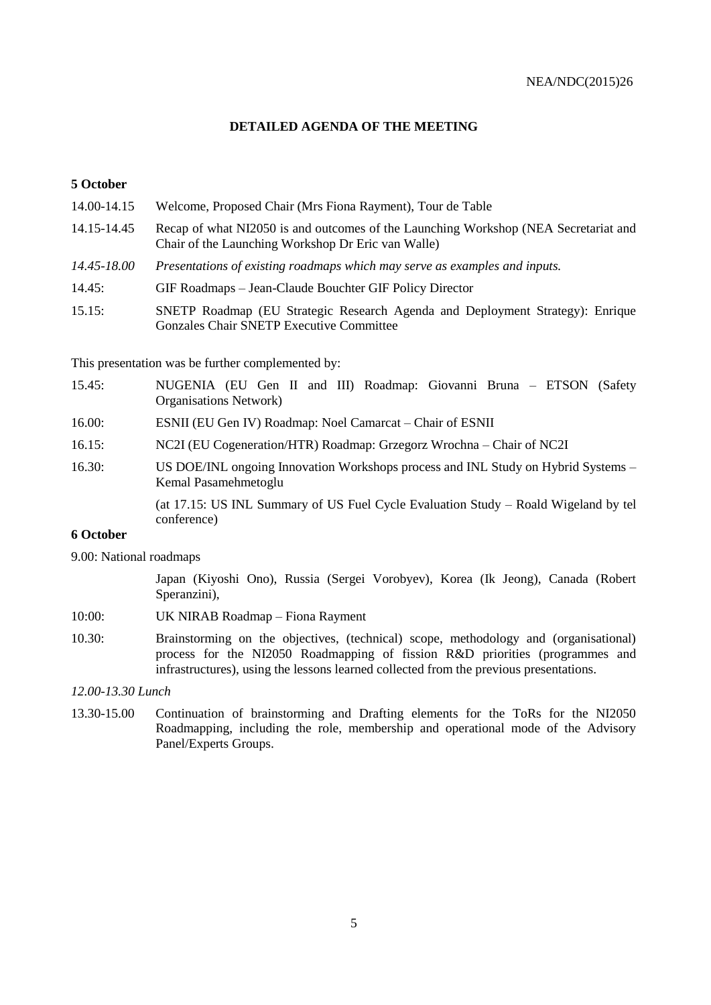## **DETAILED AGENDA OF THE MEETING**

#### **5 October**

| 14.00-14.15 | Welcome, Proposed Chair (Mrs Fiona Rayment), Tour de Table                                                                                |
|-------------|-------------------------------------------------------------------------------------------------------------------------------------------|
| 14.15-14.45 | Recap of what NI2050 is and outcomes of the Launching Workshop (NEA Secretariat and<br>Chair of the Launching Workshop Dr Eric van Walle) |
| 14.45-18.00 | Presentations of existing roadmaps which may serve as examples and inputs.                                                                |
| 14.45:      | GIF Roadmaps – Jean-Claude Bouchter GIF Policy Director                                                                                   |
| 15.15:      | SNETP Roadmap (EU Strategic Research Agenda and Deployment Strategy): Enrique<br><b>Gonzales Chair SNETP Executive Committee</b>          |

This presentation was be further complemented by:

- 15.45: NUGENIA (EU Gen II and III) Roadmap: Giovanni Bruna ETSON (Safety Organisations Network)
- 16.00: ESNII (EU Gen IV) Roadmap: Noel Camarcat Chair of ESNII
- 16.15: NC2I (EU Cogeneration/HTR) Roadmap: Grzegorz Wrochna Chair of NC2I
- 16.30: US DOE/INL ongoing Innovation Workshops process and INL Study on Hybrid Systems Kemal Pasamehmetoglu

(at 17.15: US INL Summary of US Fuel Cycle Evaluation Study – Roald Wigeland by tel conference)

#### **6 October**

9.00: National roadmaps

Japan (Kiyoshi Ono), Russia (Sergei Vorobyev), Korea (Ik Jeong), Canada (Robert Speranzini),

- 10:00: UK NIRAB Roadmap Fiona Rayment
- 10.30: Brainstorming on the objectives, (technical) scope, methodology and (organisational) process for the NI2050 Roadmapping of fission R&D priorities (programmes and infrastructures), using the lessons learned collected from the previous presentations.

#### *12.00-13.30 Lunch*

13.30-15.00 Continuation of brainstorming and Drafting elements for the ToRs for the NI2050 Roadmapping, including the role, membership and operational mode of the Advisory Panel/Experts Groups.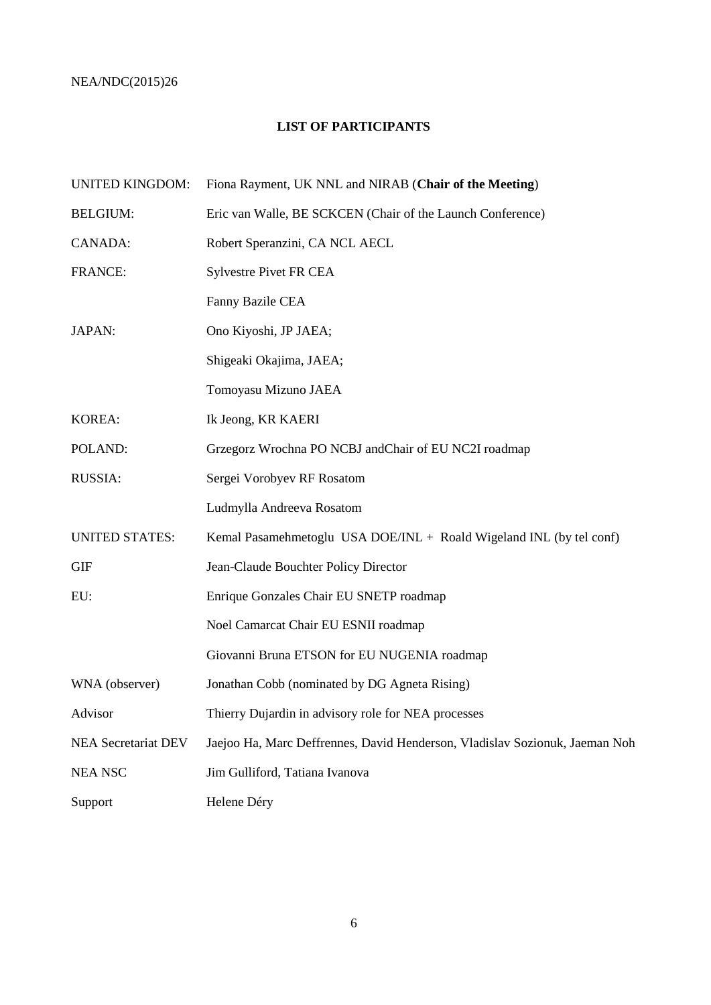## NEA/NDC(2015)26

# **LIST OF PARTICIPANTS**

| <b>UNITED KINGDOM:</b>     | Fiona Rayment, UK NNL and NIRAB (Chair of the Meeting)                      |
|----------------------------|-----------------------------------------------------------------------------|
| <b>BELGIUM:</b>            | Eric van Walle, BE SCKCEN (Chair of the Launch Conference)                  |
| CANADA:                    | Robert Speranzini, CA NCL AECL                                              |
| <b>FRANCE:</b>             | <b>Sylvestre Pivet FR CEA</b>                                               |
|                            | Fanny Bazile CEA                                                            |
| <b>JAPAN:</b>              | Ono Kiyoshi, JP JAEA;                                                       |
|                            | Shigeaki Okajima, JAEA;                                                     |
|                            | Tomoyasu Mizuno JAEA                                                        |
| <b>KOREA:</b>              | Ik Jeong, KR KAERI                                                          |
| POLAND:                    | Grzegorz Wrochna PO NCBJ andChair of EU NC2I roadmap                        |
| <b>RUSSIA:</b>             | Sergei Vorobyev RF Rosatom                                                  |
|                            | Ludmylla Andreeva Rosatom                                                   |
| <b>UNITED STATES:</b>      | Kemal Pasamehmetoglu USA DOE/INL + Roald Wigeland INL (by tel conf)         |
| <b>GIF</b>                 | Jean-Claude Bouchter Policy Director                                        |
| EU:                        | Enrique Gonzales Chair EU SNETP roadmap                                     |
|                            | Noel Camarcat Chair EU ESNII roadmap                                        |
|                            | Giovanni Bruna ETSON for EU NUGENIA roadmap                                 |
| WNA (observer)             | Jonathan Cobb (nominated by DG Agneta Rising)                               |
| Advisor                    | Thierry Dujardin in advisory role for NEA processes                         |
| <b>NEA Secretariat DEV</b> | Jaejoo Ha, Marc Deffrennes, David Henderson, Vladislav Sozionuk, Jaeman Noh |
| <b>NEA NSC</b>             | Jim Gulliford, Tatiana Ivanova                                              |
| Support                    | Helene Déry                                                                 |